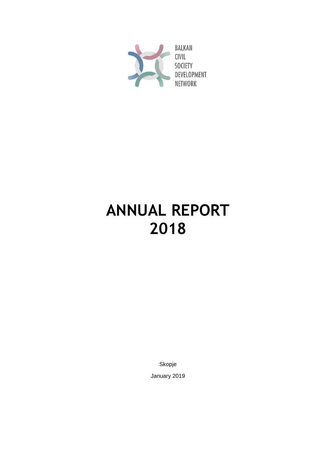

# **ANNUAL REPORT 2018**

Skopje

January 2019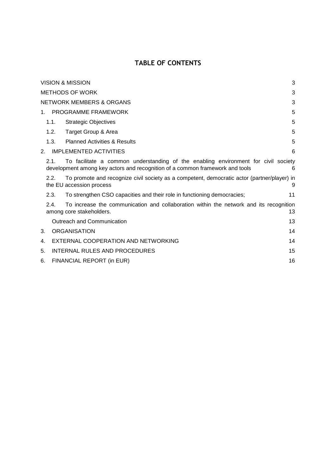### **TABLE OF CONTENTS**

| VISION & MISSION |                                                                                                                                                                                 |                                                                                                                         |    |  |  |  |  |  |
|------------------|---------------------------------------------------------------------------------------------------------------------------------------------------------------------------------|-------------------------------------------------------------------------------------------------------------------------|----|--|--|--|--|--|
|                  | <b>METHODS OF WORK</b><br>3                                                                                                                                                     |                                                                                                                         |    |  |  |  |  |  |
|                  |                                                                                                                                                                                 | <b>NETWORK MEMBERS &amp; ORGANS</b>                                                                                     | 3  |  |  |  |  |  |
| $1_{-}$          |                                                                                                                                                                                 | PROGRAMME FRAMEWORK                                                                                                     | 5  |  |  |  |  |  |
|                  | 1.1.                                                                                                                                                                            | <b>Strategic Objectives</b>                                                                                             | 5  |  |  |  |  |  |
|                  | 1.2.                                                                                                                                                                            | Target Group & Area                                                                                                     | 5  |  |  |  |  |  |
|                  | 1.3.                                                                                                                                                                            | <b>Planned Activities &amp; Results</b>                                                                                 | 5  |  |  |  |  |  |
| 2.               |                                                                                                                                                                                 | <b>IMPLEMENTED ACTIVITIES</b>                                                                                           | 6  |  |  |  |  |  |
|                  | To facilitate a common understanding of the enabling environment for civil society<br>2.1.<br>development among key actors and recognition of a common framework and tools<br>6 |                                                                                                                         |    |  |  |  |  |  |
|                  | 2.2.                                                                                                                                                                            | To promote and recognize civil society as a competent, democratic actor (partner/player) in<br>the EU accession process | 9  |  |  |  |  |  |
|                  | 2.3.                                                                                                                                                                            | To strengthen CSO capacities and their role in functioning democracies;                                                 | 11 |  |  |  |  |  |
|                  | 2.4.                                                                                                                                                                            | To increase the communication and collaboration within the network and its recognition<br>among core stakeholders.      | 13 |  |  |  |  |  |
|                  |                                                                                                                                                                                 | Outreach and Communication                                                                                              | 13 |  |  |  |  |  |
| 3.               |                                                                                                                                                                                 | <b>ORGANISATION</b>                                                                                                     | 14 |  |  |  |  |  |
| 4.               |                                                                                                                                                                                 | EXTERNAL COOPERATION AND NETWORKING                                                                                     | 14 |  |  |  |  |  |
| 5.               | INTERNAL RULES AND PROCEDURES                                                                                                                                                   |                                                                                                                         |    |  |  |  |  |  |
| 6.               |                                                                                                                                                                                 | FINANCIAL REPORT (in EUR)                                                                                               | 16 |  |  |  |  |  |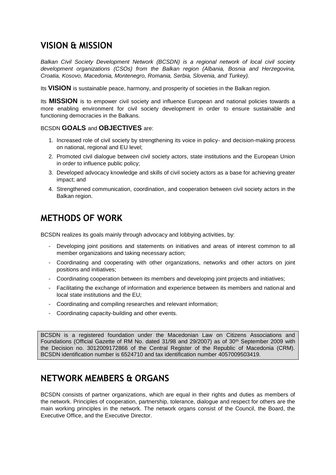### <span id="page-2-0"></span>**VISION & MISSION**

*Balkan Civil Society Development Network (BCSDN) is a regional network of local civil society development organizations (CSOs) from the Balkan region (Albania, Bosnia and Herzegovina, Croatia, Kosovo, Macedonia, Montenegro, Romania, Serbia, Slovenia, and Turkey).*

Its **VISION** is sustainable peace, harmony, and prosperity of societies in the Balkan region.

Its **MISSION** is to empower civil society and influence European and national policies towards a more enabling environment for civil society development in order to ensure sustainable and functioning democracies in the Balkans.

#### BCSDN **GOALS** and **OBJECTIVES** are:

- 1. Increased role of civil society by strengthening its voice in policy- and decision-making process on national, regional and EU level;
- 2. Promoted civil dialogue between civil society actors, state institutions and the European Union in order to influence public policy;
- 3. Developed advocacy knowledge and skills of civil society actors as a base for achieving greater impact; and
- 4. Strengthened communication, coordination, and cooperation between civil society actors in the Balkan region.

### <span id="page-2-1"></span>**METHODS OF WORK**

BCSDN realizes its goals mainly through advocacy and lobbying activities, by:

- Developing joint positions and statements on initiatives and areas of interest common to all member organizations and taking necessary action;
- Coordinating and cooperating with other organizations, networks and other actors on joint positions and initiatives;
- Coordinating cooperation between its members and developing joint projects and initiatives;
- Facilitating the exchange of information and experience between its members and national and local state institutions and the EU;
- Coordinating and compiling researches and relevant information;
- Coordinating capacity-building and other events.

BCSDN is a registered foundation under the Macedonian Law on Citizens Associations and Foundations (Official Gazette of RM No. dated 31/98 and 29/2007) as of 30th September 2009 with the Decision no. 3012009172866 of the Central Register of the Republic of Macedonia (CRM). BCSDN identification number is 6524710 and tax identification number 4057009503419.

### <span id="page-2-2"></span>**NETWORK MEMBERS & ORGANS**

BCSDN consists of partner organizations, which are equal in their rights and duties as members of the network. Principles of cooperation, partnership, tolerance, dialogue and respect for others are the main working principles in the network. The network organs consist of the Council, the Board, the Executive Office, and the Executive Director.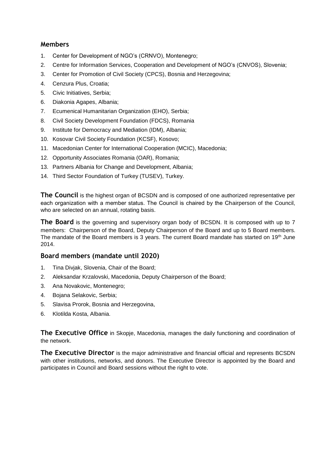#### **Members**

- 1. Center for Development of NGO's (CRNVO), Montenegro;
- 2. Centre for Information Services, Cooperation and Development of NGO's (CNVOS), Slovenia;
- 3. Center for Promotion of Civil Society (CPCS), Bosnia and Herzegovina;
- 4. Cenzura Plus, Croatia;
- 5. Civic Initiatives, Serbia;
- 6. Diakonia Agapes, Albania;
- 7. Ecumenical Humanitarian Organization (EHO), Serbia;
- 8. Civil Society Development Foundation (FDCS), Romania
- 9. Institute for Democracy and Mediation (IDM), Albania;
- 10. Kosovar Civil Society Foundation (KCSF), Kosovo;
- 11. Macedonian Center for International Cooperation (MCIC), Macedonia;
- 12. Opportunity Associates Romania (OAR), Romania;
- 13. Partners Albania for Change and Development, Albania;
- 14. Third Sector Foundation of Turkey (TUSEV), Turkey.

**The Council** is the highest organ of BCSDN and is composed of one authorized representative per each organization with a member status. The Council is chaired by the Chairperson of the Council, who are selected on an annual, rotating basis.

**The Board** is the governing and supervisory organ body of BCSDN. It is composed with up to 7 members: Chairperson of the Board, Deputy Chairperson of the Board and up to 5 Board members. The mandate of the Board members is 3 years. The current Board mandate has started on 19th June 2014.

#### **Board members (mandate until 2020)**

- 1. Tina Divjak, Slovenia, Chair of the Board;
- 2. Aleksandar Krzalovski, Macedonia, Deputy Chairperson of the Board;
- 3. Ana Novakovic, Montenegro;
- 4. Bojana Selakovic, Serbia;
- 5. Slavisa Prorok, Bosnia and Herzegovina,
- 6. Klotilda Kosta, Albania.

**The Executive Office** in Skopje, Macedonia, manages the daily functioning and coordination of the network.

**The Executive Director** is the major administrative and financial official and represents BCSDN with other institutions, networks, and donors. The Executive Director is appointed by the Board and participates in Council and Board sessions without the right to vote.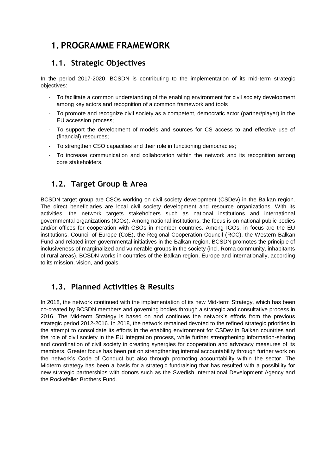### <span id="page-4-0"></span>**1. PROGRAMME FRAMEWORK**

### <span id="page-4-1"></span>**1.1. Strategic Objectives**

In the period 2017-2020, BCSDN is contributing to the implementation of its mid-term strategic objectives:

- To facilitate a common understanding of the enabling environment for civil society development among key actors and recognition of a common framework and tools
- To promote and recognize civil society as a competent, democratic actor (partner/player) in the EU accession process;
- To support the development of models and sources for CS access to and effective use of (financial) resources;
- To strengthen CSO capacities and their role in functioning democracies;
- To increase communication and collaboration within the network and its recognition among core stakeholders.

### <span id="page-4-2"></span>**1.2. Target Group & Area**

BCSDN target group are CSOs working on civil society development (CSDev) in the Balkan region. The direct beneficiaries are local civil society development and resource organizations. With its activities, the network targets stakeholders such as national institutions and international governmental organizations (IGOs). Among national institutions, the focus is on national public bodies and/or offices for cooperation with CSOs in member countries. Among IGOs, in focus are the EU institutions, Council of Europe (CoE), the Regional Cooperation Council (RCC), the Western Balkan Fund and related inter-governmental initiatives in the Balkan region. BCSDN promotes the principle of inclusiveness of marginalized and vulnerable groups in the society (incl. Roma community, inhabitants of rural areas). BCSDN works in countries of the Balkan region, Europe and internationally, according to its mission, vision, and goals.

### <span id="page-4-3"></span>**1.3. Planned Activities & Results**

In 2018, the network continued with the implementation of its new Mid-term Strategy, which has been co-created by BCSDN members and governing bodies through a strategic and consultative process in 2016. The Mid-term Strategy is based on and continues the network's efforts from the previous strategic period 2012-2016. In 2018, the network remained devoted to the refined strategic priorities in the attempt to consolidate its efforts in the enabling environment for CSDev in Balkan countries and the role of civil society in the EU integration process, while further strengthening information-sharing and coordination of civil society in creating synergies for cooperation and advocacy measures of its members. Greater focus has been put on strengthening internal accountability through further work on the network's Code of Conduct but also through promoting accountability within the sector. The Midterm strategy has been a basis for a strategic fundraising that has resulted with a possibility for new strategic partnerships with donors such as the Swedish International Development Agency and the Rockefeller Brothers Fund.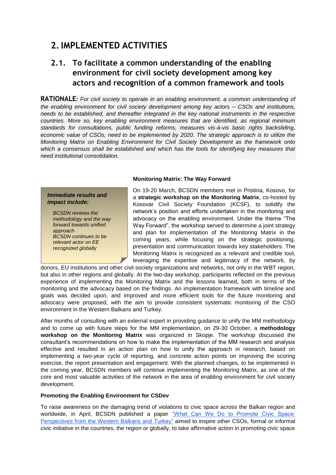### <span id="page-5-0"></span>**2.IMPLEMENTED ACTIVITIES**

### <span id="page-5-1"></span>**2.1. To facilitate a common understanding of the enabling environment for civil society development among key actors and recognition of a common framework and tools**

**RATIONALE***: For civil society to operate in an enabling environment, a common understanding of the enabling environment for civil society development among key actors – CSOs and institutions, needs to be established, and thereafter integrated in the key national instruments in the respective countries. More so, key enabling environment measures that are identified, as regional minimum standards for consultations, public funding reforms, measures vis-à-vis basic rights backsliding, economic value of CSOs, need to be implemented by 2020. The strategic approach is to utilize the Monitoring Matrix on Enabling Environment for Civil Society Development as the framework onto which a consensus shall be established and which has the tools for identifying key measures that need institutional consolidation.*

#### *Immediate results and impact include:*

*BCSDN reviews the methodology and the way forward towards unified approach BCSDN continues to be relevant actor on EE recognized globally*

#### **Monitoring Matrix: The Way Forward**

On 19-20 March, BCSDN members met in Pristina, Kosovo, for a **strategic workshop on the Monitoring Matrix**, co-hosted by Kosovar Civil Society Foundation (KCSF), to solidify the network's position and efforts undertaken in the monitoring and advocacy on the enabling environment. Under the theme "The Way Forward", the workshop served to determine a joint strategy and plan for implementation of the Monitoring Matrix in the coming years, while focusing on the strategic positioning, presentation and communication towards key stakeholders. The Monitoring Matrix is recognized as a relevant and credible tool. leveraging the expertise and legitimacy of the network, by

donors, EU institutions and other civil society organizations and networks, not only in the WBT region, but also in other regions and globally. At the two-day workshop, participants reflected on the previous experience of implementing the Monitoring Matrix and the lessons learned, both in terms of the monitoring and the advocacy based on the findings. An implementation framework with timeline and goals was decided upon, and improved and more efficient tools for the future monitoring and advocacy were proposed, with the aim to provide consistent systematic monitoring of the CSO environment in the Western Balkans and Turkey.

After months of consulting with an external expert in providing guidance to unify the MM methodology and to come up with future steps for the MM implementation, on 29-30 October, a **methodology workshop on the Monitoring Matrix** was organized in Skopje. The workshop discussed the consultant's recommendations on how to make the implementation of the MM research and analysis effective and resulted in an action plan on how to unify the approach in research, based on implementing a two-year cycle of reporting, and concrete action points on improving the scoring exercise, the report presentation and engagement. With the planned changes, to be implemented in the coming year, BCSDN members will continue implementing the Monitoring Matrix, as one of the core and most valuable activities of the network in the area of enabling environment for civil society development.

#### **Promoting the Enabling Environment for CSDev**

To raise awareness on the damaging trend of violations to civic space across the Balkan region and worldwide, in April, BCSDN published a paper ["What Can We Do to Promote Civic Space:](http://www.balkancsd.net/what-can-we-do-to-promote-civic-space-perspectives-from-the-western-balkans-and-turkey/)  [Perspectives from the Western Balkans and Turkey"](http://www.balkancsd.net/what-can-we-do-to-promote-civic-space-perspectives-from-the-western-balkans-and-turkey/) aimed to inspire other CSOs, formal or informal civic initiative in the countries, the region or globally, to take affirmative action in promoting civic space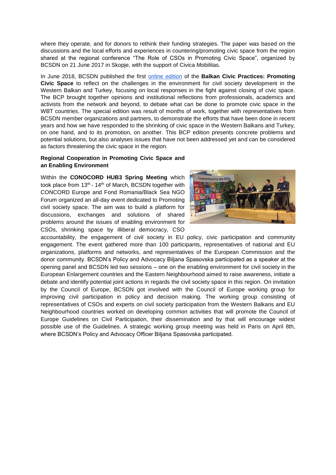where they operate, and for donors to rethink their funding strategies. The paper was based on the discussions and the local efforts and experiences in countering/promoting civic space from the region shared at the regional conference "The Role of CSOs in Promoting Civic Space", organized by BCSDN on 21 June 2017 in Skopje, with the support of Civica Mobilitas.

In June 2018, BCSDN published the first [online edition](http://bcp.balkancsd.net/) of the **Balkan Civic Practices: Promoting Civic Space** to reflect on the challenges in the environment for civil society development in the Western Balkan and Turkey, focusing on local responses in the fight against closing of civic space. The BCP brought together opinions and institutional reflections from professionals, academics and activists from the network and beyond, to debate what can be done to promote civic space in the WBT countries. The special edition was result of months of work, together with representatives from BCSDN member organizations and partners, to demonstrate the efforts that have been done in recent years and how we have responded to the shrinking of civic space in the Western Balkans and Turkey, on one hand, and to its promotion, on another. This BCP edition presents concrete problems and potential solutions, but also analyses issues that have not been addressed yet and can be considered as factors threatening the civic space in the region.

#### **Regional Cooperation in Promoting Civic Space and an Enabling Environment**

Within the **CONOCORD HUB3 Spring Meeting** which took place from 13th - 14th of March, BCSDN together with CONCORD Europe and Fond Romania/Black Sea NGO Forum organized an all-day event dedicated to Promoting civil society space. The aim was to build a platform for discussions, exchanges and solutions of shared problems around the issues of enabling environment for CSOs, shrinking space by illiberal democracy, CSO



accountability, the engagement of civil society in EU policy, civic participation and community engagement. The event gathered more than 100 participants, representatives of national and EU organizations, platforms and networks, and representatives of the European Commission and the donor community. BCSDN's Policy and Advocacy Biljana Spasovska participated as a speaker at the opening panel and BCSDN led two sessions – one on the enabling environment for civil society in the European Enlargement countries and the Eastern Neighbourhood aimed to raise awareness, initiate a debate and identify potential joint actions in regards the civil society space in this region. On invitation by the Council of Europe, BCSDN got involved with the Council of Europe working group for improving civil participation in policy and decision making. The working group consisting of representatives of CSOs and experts on civil society participation from the Western Balkans and EU Neighbourhood countries worked on developing common activities that will promote the Council of Europe Guidelines on Civil Participation, their dissemination and by that will encourage widest possible use of the Guidelines. A strategic working group meeting was held in Paris on April 8th, where BCSDN's Policy and Advocacy Officer Biljana Spasovska participated.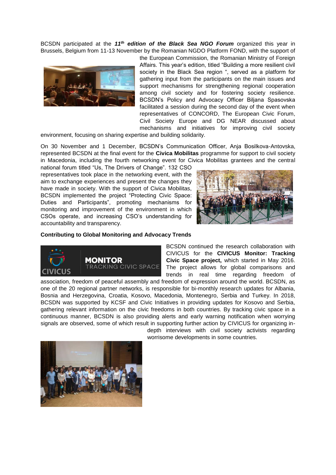BCSDN participated at the *11th edition of the Black Sea NGO Forum* organized this year in Brussels, Belgium from 11-13 November by the Romanian NGDO Platform FOND, with the support of



the European Commission, the Romanian Ministry of Foreign Affairs. This year's edition, titled "Building a more resilient civil society in the Black Sea region ", served as a platform for gathering input from the participants on the main issues and support mechanisms for strengthening regional cooperation among civil society and for fostering society resilience. BCSDN's Policy and Advocacy Officer Biljana Spasovska facilitated a session during the second day of the event when representatives of CONCORD, The European Civic Forum, Civil Society Europe and DG NEAR discussed about mechanisms and initiatives for improving civil society

environment, focusing on sharing expertise and building solidarity.

On 30 November and 1 December, BCSDN's Communication Officer, Anja Bosilkova-Antovska, represented BCSDN at the final event for the **Civica Mobilitas** programme for support to civil society in Macedonia, including the fourth networking event for Civica Mobilitas grantees and the central

national forum titled "Us, The Drivers of Change". 132 CSO representatives took place in the networking event, with the aim to exchange experiences and present the changes they have made in society. With the support of Civica Mobilitas, BCSDN implemented the project "Protecting Civic Space: Duties and Participants", promoting mechanisms for monitoring and improvement of the environment in which CSOs operate, and increasing CSO's understanding for accountability and transparency.



#### **Contributing to Global Monitoring and Advocacy Trends**



BCSDN continued the research collaboration with CIVICUS for the **CIVICUS Monitor: Tracking Civic Space project,** which started in May 2016. The project allows for global comparisons and trends in real time regarding freedom of

association, freedom of peaceful assembly and freedom of expression around the world. BCSDN, as one of the 20 regional partner networks, is responsible for bi-monthly research updates for Albania, Bosnia and Herzegovina, Croatia, Kosovo, Macedonia, Montenegro, Serbia and Turkey. In 2018, BCSDN was supported by KCSF and Civic Initiatives in providing updates for Kosovo and Serbia, gathering relevant information on the civic freedoms in both countries. By tracking civic space in a continuous manner, BCSDN is also providing alerts and early warning notification when worrying signals are observed, some of which result in supporting further action by CIVICUS for organizing in-

depth interviews with civil society activists regarding worrisome developments in some countries.

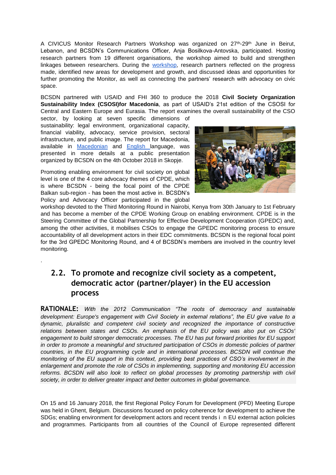A CIVICUS Monitor Research Partners Workshop was organized on 27<sup>th</sup>-29<sup>th</sup> June in Beirut, Lebanon, and BCSDN's Communications Officer, Anja Bosilkova-Antovska, participated. Hosting research partners from 19 different organisations, the workshop aimed to build and strengthen linkages between researchers. During the [workshop,](https://spark.adobe.com/page/KVjd3Kvz1RSts/) research partners reflected on the progress made, identified new areas for development and growth, and discussed ideas and opportunities for further promoting the Monitor, as well as connecting the partners' research with advocacy on civic space.

BCSDN partnered with USAID and FHI 360 to produce the 2018 **Civil Society Organization Sustainability Index (CSOSI)for Macedonia**, as part of USAID's 21st edition of the CSOSI for Central and Eastern Europe and Eurasia. The report examines the overall sustainability of the CSO

sector, by looking at seven specific dimensions of sustainability: legal environment, organizational capacity, financial viability, advocacy, service provision, sectoral infrastructure, and public image. The report for Macedonia, available in [Macedonian](http://www.balkancsd.net/novo/wp-content/uploads/2018/09/13-14-CSOSI_Macedonia_Published-MK.pdf) and [English l](http://www.balkancsd.net/novo/wp-content/uploads/2018/09/13-13-CSOSI_Macedonia_Published-EN.pdf)anguage, was presented in more details at a public presentation organized by BCSDN on the 4th October 2018 in Skopje.

Promoting enabling environment for civil society on global level is one of the 4 core advocacy themes of CPDE, which is where BCSDN - being the focal point of the CPDE Balkan sub-region - has been the most active in. BCSDN's Policy and Advocacy Officer participated in the global

<span id="page-8-0"></span>.



workshop devoted to the Third Monitoring Round in Nairobi, Kenya from 30th January to 1st February and has become a member of the CPDE Working Group on enabling environment. CPDE is in the Steering Committee of the Global Partnership for Effective Development Cooperation (GPEDC) and, among the other activities, it mobilises CSOs to engage the GPEDC monitoring process to ensure accountability of all development actors in their EDC commitments. BCSDN is the regional focal point for the 3rd GPEDC Monitoring Round, and 4 of BCSDN's members are involved in the country level monitoring.

### **2.2. To promote and recognize civil society as a competent, democratic actor (partner/player) in the EU accession process**

**RATIONALE:** *With the 2012 Communication "The roots of democracy and sustainable development: Europe's engagement with Civil Society in external relations", the EU give value to a dynamic, pluralistic and competent civil society and recognized the importance of constructive relations between states and CSOs. An emphasis of the EU policy was also put on CSOs' engagement to build stronger democratic processes. The EU has put forward priorities for EU support in order to promote a meaningful and structured participation of CSOs in domestic policies of partner countries, in the EU programming cycle and in international processes. BCSDN will continue the monitoring of the EU support in this context, providing best practices of CSO's involvement in the enlargement and promote the role of CSOs in implementing, supporting and monitoring EU accession*  reforms. BCSDN will also look to reflect on global processes by promoting partnership with civil *society, in order to deliver greater impact and better outcomes in global governance.*

On 15 and 16 January 2018, the first Regional Policy Forum for Development (PFD) Meeting Europe was held in Ghent, Belgium. Discussions focused on policy coherence for development to achieve the SDGs; enabling environment for development actors and recent trends i n EU external action policies and programmes. Participants from all countries of the Council of Europe represented different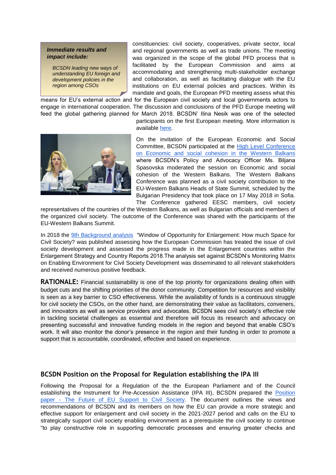#### *Immediate results and impact include:*

*BCSDN leading new ways of understanding EU foreign and development policies in the region among CSOs*

constituencies: civil society, cooperatives, private sector, local and regional governments as well as trade unions. The meeting was organized in the scope of the global PFD process that is facilitated by the European Commission and aims at accommodating and strengthening multi-stakeholder exchange and collaboration, as well as facilitating dialogue with the EU institutions on EU external policies and practices. Within its mandate and goals, the European PFD meeting assess what this

means for EU's external action and for the European civil society and local governments actors to engage in international cooperation. The discussion and conclusions of the PFD Europe meeting will feed the global gathering planned for March 2018. BCSDN' Ilina Nesik was one of the selected

> participants on the first European meeting. More information is available [here.](https://europa.eu/capacity4dev/policy-forum-development/wiki/1st-regional-meeting-europe)



On the invitation of the European Economic and Social Committee, BCSDN participated at the [High Level Conference](https://www.eesc.europa.eu/en/agenda/our-events/events/western-balkans-civil-society-meeting-contribution-summit-may-2018/programme)  [on Economic and social cohesion in the Western Balkans](https://www.eesc.europa.eu/en/agenda/our-events/events/western-balkans-civil-society-meeting-contribution-summit-may-2018/programme) where BCSDN's Policy and Advocacy Officer Ms. Biljana Spasovska moderated the session on Economic and social cohesion of the Western Balkans. The Western Balkans Conference was planned as a civil society contribution to the EU-Western Balkans Heads of State Summit, scheduled by the Bulgarian Presidency that took place on 17 May 2018 in Sofia. The Conference gathered EESC members, civil society

representatives of the countries of the Western Balkans, as well as Bulgarian officials and members of the organized civil society. The outcome of the Conference was shared with the participants of the EU-Western Balkans Summit.

In 2018 the [9th Background analysis](http://www.balkancsd.net/window-opportunity-for-enlargement-how-much-space-for-civil-society/) "Window of Opportunity for Enlargement: How much Space for Civil Society? was published assessing how the European Commission has treated the issue of civil society development and assessed the progress made in the Enlargement countries within the Enlargement Strategy and Country Reports 2018.The analysis set against BCSDN's Monitoring Matrix on Enabling Environment for Civil Society Development was disseminated to all relevant stakeholders and received numerous positive feedback.

**RATIONALE:** Financial sustainability is one of the top priority for organizations dealing often with budget cuts and the shifting priorities of the donor community. Competition for resources and visibility is seen as a key barrier to CSO effectiveness. While the availability of funds is a continuous struggle for civil society the CSOs, on the other hand, are demonstrating their value as facilitators, conveners, and innovators as well as service providers and advocates. BCSDN sees civil society's effective role in tackling societal challenges as essential and therefore will focus its research and advocacy on presenting successful and innovative funding models in the region and beyond that enable CSO's work. It will also monitor the donor's presence in the region and their funding in order to promote a support that is accountable, coordinated, effective and based on experience.

#### **BCSDN Position on the Proposal for Regulation establishing the IPA III**

Following the Proposal for a Regulation of the the European Parliament and of the Council establishing the Instrument for Pre-Accession Assistance (IPA III), BCSDN prepared the [Position](http://www.balkancsd.net/novo/wp-content/uploads/2018/12/BCSDN-Position-on-IPA-III.pdf)  paper - The [Future of EU Support to Civil Society.](http://www.balkancsd.net/novo/wp-content/uploads/2018/12/BCSDN-Position-on-IPA-III.pdf) The document outlines the views and recommendations of BCSDN and its members on how the EU can provide a more strategic and effective support for enlargement and civil society in the 2021-2027 period and calls on the EU to strategically support civil society enabling environment as a prerequisite the civil society to continue "to play constructive role in supporting democratic processes and ensuring greater checks and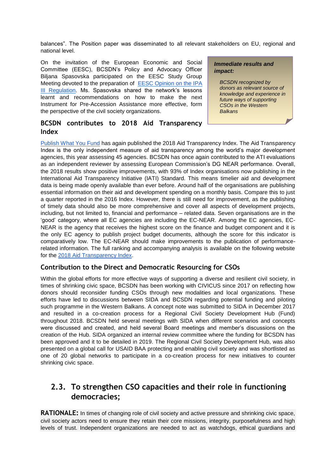balances". The Position paper was disseminated to all relevant stakeholders on EU, regional and national level.

On the invitation of the European Economic and Social Committee (EESC), BCSDN's Policy and Advocacy Officer Biljana Spasovska participated on the EESC Study Group Meeting devoted to the preparation of [EESC Opinion on the IPA](https://www.eesc.europa.eu/en/our-work/opinions-information-reports/opinions/instrument-pre-accession-ipa-iii)  [III Regulation.](https://www.eesc.europa.eu/en/our-work/opinions-information-reports/opinions/instrument-pre-accession-ipa-iii) Ms. Spasovska shared the network's lessons learnt and recommendations on how to make the next Instrument for Pre-Accession Assistance more effective, form the perspective of the civil society organizations.

#### **BCSDN contributes to 2018 Aid Transparency Index**

[Publish What You Fund](https://www.facebook.com/publishwhatyoufund1/?fref=mentions) has again published the 2018 Aid Transparency Index. The Aid Transparency Index is the only independent measure of aid transparency among the world's major development agencies, this year assessing 45 agencies. BCSDN has once again contributed to the ATI evaluations as an independent reviewer by assessing European Commission's DG NEAR performance. Overall, the 2018 results show positive improvements, with 93% of Index organisations now publishing in the International Aid Transparency Initiative (IATI) Standard. This means timelier aid and development data is being made openly available than ever before. Around half of the organisations are publishing essential information on their aid and development spending on a monthly basis. Compare this to just a quarter reported in the 2016 Index. However, there is still need for improvement, as the publishing of timely data should also be more comprehensive and cover all aspects of development projects, including, but not limited to, financial and performance – related data. Seven organisations are in the 'good' category, where all EC agencies are including the EC-NEAR. Among the EC agencies, EC-NEAR is the agency that receives the highest score on the finance and budget component and it is the only EC agency to publish project budget documents, although the score for this indicator is comparatively low. The EC-NEAR should make improvements to the publication of performancerelated information. The full ranking and accompanying analysis is available on the following website for the [2018 Aid Transparency Index.](http://www.publishwhatyoufund.org/the-index/2018/)

### **Contribution to the Direct and Democratic Resourcing for CSOs**

Within the global efforts for more effective ways of supporting a diverse and resilient civil society, in times of shrinking civic space, BCSDN has been working with CIVICUS since 2017 on reflecting how donors should reconsider funding CSOs through new modalities and local organizations. These efforts have led to discussions between SIDA and BCSDN regarding potential funding and piloting such programme in the Western Balkans. A concept note was submitted to SIDA in December 2017 and resulted in a co-creation process for a Regional Civil Society Development Hub (Fund) throughout 2018. BCSDN held several meetings with SIDA when different scenarios and concepts were discussed and created, and held several Board meetings and member's discussions on the creation of the Hub. SIDA organized an internal review committee where the funding for BCSDN has been approved and it to be detailed in 2019. The Regional Civil Society Development Hub, was also presented on a global call for USAID BAA protecting and enabling civil society and was shortlisted as one of 20 global networks to participate in a co-creation process for new initiatives to counter shrinking civic space.

### <span id="page-10-0"></span>**2.3. To strengthen CSO capacities and their role in functioning democracies;**

**RATIONALE:** In times of changing role of civil society and active pressure and shrinking civic space, civil society actors need to ensure they retain their core missions, integrity, purposefulness and high levels of trust. Independent organizations are needed to act as watchdogs, ethical guardians and

#### *Immediate results and impact:*

*BCSDN recognized by donors as relevant source of knowledge and experience in future ways of supporting CSOs in the Western Balkans*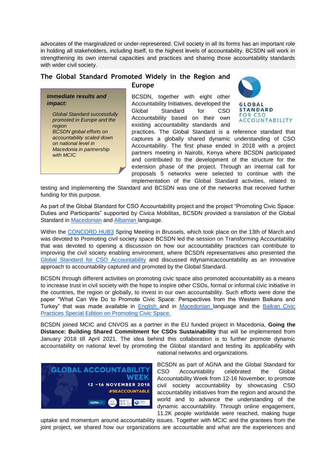advocates of the marginalized or under-represented. Civil society in all its forms has an important role in holding all stakeholders, including itself, to the highest levels of accountability. BCSDN will work in strengthening its own internal capacities and practices and sharing those accountability standards with wider civil society.

#### **The Global Standard Promoted Widely in the Region and Europe**

*Immediate results and* 

*Global Standard successfully promoted in Europe and the* 

*BCSDN global efforts on accountability scaled down on national level in Macedonia in partnership* 

*impact:*

*region*

*with MCIC*

BCSDN, together with eight other Accountability Initiatives, developed the Global Standard for CSO Accountability based on their own existing accountability standards and



practices. The Global Standard is a reference standard that captures a globally shared dynamic understanding of CSO Accountability. The first phase ended in 2018 with a project partners meeting in Nairobi, Kenya where BCSDN participated and contributed to the development of the structure for the extension phase of the project. Through an internal call for proposals 5 networks were selected to continue with the implementation of the Global Standard activities, related to

testing and implementing the Standard and BCSDN was one of the networks that received further funding for this purpose.

As part of the Global Standard for CSO Accountability project and the project "Promoting Civic Space: Duties and Participants" supported by Civica Mobilitas, BCSDN provided a translation of the Global Standard in [Macedonian](http://www.balkancsd.net/the-global-standard-for-cso-accountability-now-available-in-macedonian/) and [Albanian la](http://www.balkancsd.net/the-global-standard-for-cso-accountability-now-available-in-albanian/)nguage.

Within the [CONCORD HUB3](https://www.concordeurope.net/hubs/hub3) Spring Meeting in Brussels, which took place on the 13th of March and was devoted to Promoting civil society space BCSDN led the session on Transforming Accountability that was devoted to opening a discussion on how our accountability practices can contribute to improving the civil society enabling environment, where BCSDN representatives also presented the [Global Standard for CSO Accountability](http://www.csostandard.org/) and discussed #dynamicaccountability as an innovative approach to accountability captured and promoted by the Global Standard.

BCSDN through different activities on promoting civic space also promoted accountability as a means to increase trust in civil society with the hope to inspire other CSOs, formal or informal civic initiative in the countries, the region or globally, to invest in our own accountability. Such efforts were done the paper "What Can We Do to Promote Civic Space: Perspectives from the Western Balkans and Turkey" that was made available in [English a](http://www.balkancsd.net/novo/wp-content/uploads/2018/04/Pogledite-na-zapaden-balkan-i-turcija-ANG-01.pdf)nd in [Macedonian l](http://www.balkancsd.net/novo/wp-content/uploads/2018/04/Pogledite-na-zapaden-balkan-i-turcija-MK-02.pdf)anguage and the Balkan Civic [Practices Special Edition on Promoting Civic Space.](http://www.balkancsd.net/new-balkan-civic-practices-special-edition-on-promoting-civic-space/) 

BCSDN joined MCIC and CNVOS as a partner in the EU funded project in Macedonia, **Going the Distance: Building Shared Commitment for CSOs Sustainability** that will be implemented from January 2018 till April 2021. The idea behind this collaboration is to further promote dynamic accountability on national level by promoting the Global standard and testing its applicability with



national networks and organizations.

BCSDN as part of AGNA and the Global Standard for CSO Accountability celebrated the Global Accountability Week from 12-16 November, to promote civil society accountability by showcasing CSO accountability initiatives from the region and around the world and to advance the understanding of the dynamic accountability. Through online engagement, 11.2K people worldwide were reached, making huge

uptake and momentum around accountability issues. Together with MCIC and the grantees from the joint project, we shared how our organizations are accountable and what are the experiences and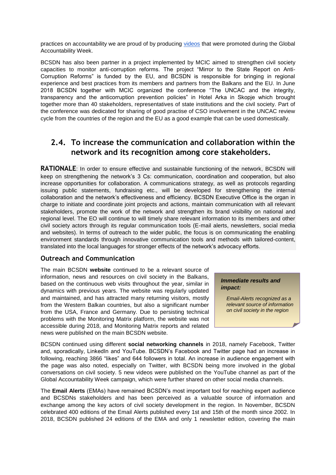practices on accountability we are proud of by producing [videos](https://www.youtube.com/playlist?list=PLSJ5Uni7QmQuWgYflY7a5Wt5OL7bILfCW&fbclid=IwAR1-q72XgMYiSjBFViqboWbmKB3qa9WyKlAykzorC5XxPuijTSoYvQCi6XQ) that were promoted during the Global Accountability Week.

BCSDN has also been partner in a project implemented by MCIC aimed to strengthen civil society capacities to monitor anti-corruption reforms. The project "Mirror to the State Report on Anti-Corruption Reforms" is funded by the EU, and BCSDN is responsible for bringing in regional experience and best practices from its members and partners from the Balkans and the EU. In June 2018 BCSDN together with MCIC organized the conference "The UNCAC and the integrity, transparency and the anticorruption prevention policies" in Hotel Arka in Skopje which brought together more than 40 stakeholders, representatives of state institutions and the civil society. Part of the conference was dedicated for sharing of good practise of CSO involvement in the UNCAC review cycle from the countries of the region and the EU as a good example that can be used domestically.

### <span id="page-12-0"></span>**2.4. To increase the communication and collaboration within the network and its recognition among core stakeholders.**

**RATIONALE**: In order to ensure effective and sustainable functioning of the network, BCSDN will keep on strengthening the network's 3 Cs: communication, coordination and cooperation, but also increase opportunities for collaboration. A communications strategy, as well as protocols regarding issuing public statements, fundraising etc., will be developed for strengthening the internal collaboration and the network's effectiveness and efficiency. BCSDN Executive Office is the organ in charge to initiate and coordinate joint projects and actions, maintain communication with all relevant stakeholders, promote the work of the network and strengthen its brand visibility on national and regional level. The EO will continue to will timely share relevant information to its members and other civil society actors through its regular communication tools (E-mail alerts, newsletters, social media and websites). In terms of outreach to the wider public, the focus is on communicating the enabling environment standards through innovative communication tools and methods with tailored-content, translated into the local languages for stronger effects of the network's advocacy efforts.

#### <span id="page-12-1"></span>**Outreach and Communication**

The main BCSDN **website** continued to be a relevant source of information, news and resources on civil society in the Balkans, based on the continuous web visits throughout the year, similar in dynamics with previous years. The website was regularly updated and maintained, and has attracted many returning visitors, mostly from the Western Balkan countries, but also a significant number from the USA, France and Germany. Due to persisting technical problems with the Monitoring Matrix platform, the website was not accessible during 2018, and Monitoring Matrix reports and related news were published on the main BCSDN website.

#### *Immediate results and impact:*

*Email-Alerts recognized as a relevant source of information on civil society in the region*

BCSDN continued using different **social networking channels** in 2018, namely Facebook, Twitter and, sporadically, LinkedIn and YouTube. BCSDN's Facebook and Twitter page had an increase in following, reaching 3866 "likes" and 644 followers in total. An increase in audience engagement with the page was also noted, especially on Twitter, with BCSDN being more involved in the global conversations on civil society. 5 new videos were published on the YouTube channel as part of the Global Accountability Week campaign, which were further shared on other social media channels.

The **Email Alerts** (EMAs) have remained BCSDN's most important tool for reaching expert audience and BCSDNs stakeholders and has been perceived as a valuable source of information and exchange among the key actors of civil society development in the region. In November, BCSDN celebrated 400 editions of the Email Alerts published every 1st and 15th of the month since 2002. In 2018, BCSDN published 24 editions of the EMA and only 1 newsletter edition, covering the main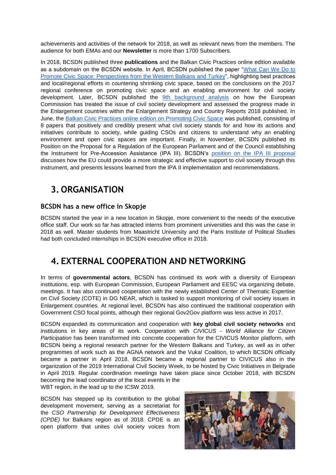achievements and activities of the network for 2018, as well as relevant news from the members. The audience for both EMAs and our **Newsletter** is more than 1700 Subscribers.

In 2018, BCSDN published three **publications** and the Balkan Civic Practices online edition available as a subdomain on the BCSDN website. In April, BCSDN published the paper ["What Can We Do to](http://www.balkancsd.net/what-can-we-do-to-promote-civic-space-perspectives-from-the-western-balkans-and-turkey/)  [Promote Civic Space: Perspectives from the Western Balkans and Turkey"](http://www.balkancsd.net/what-can-we-do-to-promote-civic-space-perspectives-from-the-western-balkans-and-turkey/), highlighting best practices and local/regional efforts in countering shrinking civic space, based on the conclusions on the 2017 regional conference on promoting civic space and an enabling environment for civil society development. Later, BCSDN published the [9th background analysis](http://www.balkancsd.net/window-opportunity-for-enlargement-how-much-space-for-civil-society/) on how the European Commission has treated the issue of civil society development and assessed the progress made in the Enlargement countries within the Enlargement Strategy and Country Reports 2018 published. In June, the [Balkan Civic Practices online edition on Promoting Civic Space](http://www.balkancsd.net/new-balkan-civic-practices-special-edition-on-promoting-civic-space/) was published, consisting of 8 papers that positively and credibly present what civil society stands for and how its actions and initiatives contribute to society, while guiding CSOs and citizens to understand why an enabling environment and open civic spaces are important. Finally, in November, BCSDN published its Position on the Proposal for a Regulation of the European Parliament and of the Council establishing the Instrument for Pre-Accession Assistance (IPA III). BCSDN's [position on the IPA III](http://www.balkancsd.net/the-future-of-eu-support-to-civil-society-bcsdn-position-on-ipa-iii/) proposal discusses how the EU could provide a more strategic and effective support to civil society through this instrument, and presents lessons learned from the IPA II implementation and recommendations.

### <span id="page-13-0"></span>**3. ORGANISATION**

### **BCSDN has a new office in Skopje**

BCSDN started the year in a new location in Skopje, more convenient to the needs of the executive office staff. Our work so far has attracted interns from prominent universities and this was the case in 2018 as well. Master students from Maastricht University and the Paris Institute of Political Studies had both concluded internships in BCSDN executive office in 2018.

### <span id="page-13-1"></span>**4. EXTERNAL COOPERATION AND NETWORKING**

In terms of **governmental actors**, BCSDN has continued its work with a diversity of European institutions, esp. with European Commission, European Parliament and EESC via organizing debate, meetings. It has also continued cooperation with the newly established Center of Thematic Expertise on Civil Society (COTE) in DG NEAR, which is tasked to support monitoring of civil society issues in Enlargement countries. At regional level, BCSDN has also continued the traditional cooperation with Government CSO focal points, although their regional Gov2Gov platform was less active in 2017.

BCSDN expanded its communication and cooperation with **key global civil society networks** and institutions in key areas of its work. Cooperation with *CIVICUS - World Alliance for Citizen Participation* has been transformed into concrete cooperation for the CIVICUS Monitor platform, with BCSDN being a regional research partner for the Western Balkans and Turkey, as well as in other programmes of work such as the AGNA network and the Vuka! Coalition, to which BCSDN officially became a partner in April 2018. BCSDN became a regional partner to CIVICUS also in the organization of the 2019 International Civil Society Week, to be hosted by Civic Initiatives in Belgrade in April 2019. Regular coordination meetings have taken place since October 2018, with BCSDN becoming the lead coordinator of the local events in the

WBT region, in the lead up to the ICSW 2019.

BCSDN has stepped up its contribution to the global development movement, serving as a secretariat for the *CSO Partnership for Development Effectiveness (CPDE)* for Balkans region as of 2018. CPDE is an open platform that unites civil society voices from

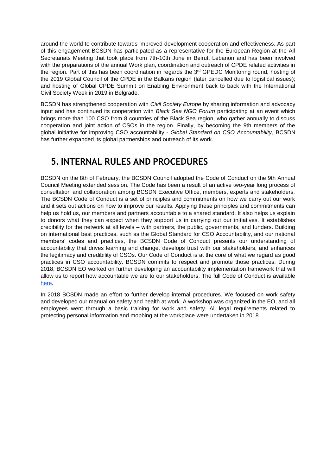around the world to contribute towards improved development cooperation and effectiveness. As part of this engagement BCSDN has participated as a representative for the European Region at the All Secretariats Meeting that took place from 7th-10th June in Beirut, Lebanon and has been involved with the preparations of the annual Work plan, coordination and outreach of CPDE related activities in the region. Part of this has been coordination in regards the 3<sup>rd</sup> GPEDC Monitoring round, hosting of the 2019 Global Council of the CPDE in the Balkans region (later cancelled due to logistical issues); and hosting of Global CPDE Summit on Enabling Environment back to back with the International Civil Society Week in 2019 in Belgrade.

BCSDN has strengthened cooperation with *Civil Society Europe* by sharing information and advocacy input and has continued its cooperation with *Black Sea NGO Forum* participating at an event which brings more than 100 CSO from 8 countries of the Black Sea region, who gather annually to discuss cooperation and joint action of CSOs in the region. Finally, by becoming the 9th members of the global initiative for improving CSO accountability - *Global Standard on CSO Accountability*, BCSDN has further expanded its global partnerships and outreach of its work.

### <span id="page-14-0"></span>**5.INTERNAL RULES AND PROCEDURES**

BCSDN on the 8th of February, the BCSDN Council adopted the Code of Conduct on the 9th Annual Council Meeting extended session. The Code has been a result of an active two-year long process of consultation and collaboration among BCSDN Executive Office, members, experts and stakeholders. The BCSDN Code of Conduct is a set of principles and commitments on how we carry out our work and it sets out actions on how to improve our results. Applying these principles and commitments can help us hold us, our members and partners accountable to a shared standard. It also helps us explain to donors what they can expect when they support us in carrying out our initiatives. It establishes credibility for the network at all levels – with partners, the public, governments, and funders. Building on international best practices, such as the Global Standard for CSO Accountability, and our national members' codes and practices, the BCSDN Code of Conduct presents our understanding of accountability that drives learning and change, develops trust with our stakeholders, and enhances the legitimacy and credibility of CSOs. Our Code of Conduct is at the core of what we regard as good practices in CSO accountability. BCSDN commits to respect and promote those practices. During 2018, BCSDN EO worked on further developing an accountability implementation framework that will allow us to report how accountable we are to our stakeholders. The full Code of Conduct is available [here.](http://www.balkancsd.net/novo/wp-content/uploads/2018/03/34-1-BCSDN-Code-of-Conduct-final.pdf)

In 2018 BCSDN made an effort to further develop internal procedures. We focused on work safety and developed our manual on safety and health at work. A workshop was organized in the EO, and all employees went through a basic training for work and safety. All legal requirements related to protecting personal information and mobbing at the workplace were undertaken in 2018.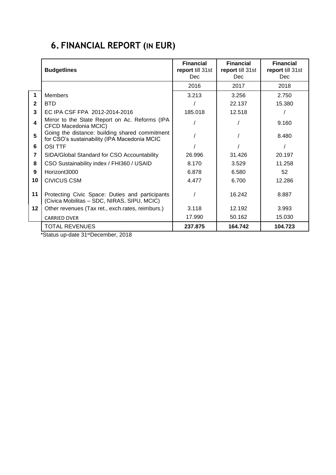## <span id="page-15-0"></span>**6. FINANCIAL REPORT (IN EUR)**

|                  | <b>Budgetlines</b>                                                                             | <b>Financial</b><br>report till 31st<br>Dec. | <b>Financial</b><br>report till 31st<br><b>Dec</b> | <b>Financial</b><br>report till 31st<br>Dec. |
|------------------|------------------------------------------------------------------------------------------------|----------------------------------------------|----------------------------------------------------|----------------------------------------------|
|                  |                                                                                                | 2016                                         | 2017                                               | 2018                                         |
| 1                | <b>Members</b>                                                                                 | 3.213                                        | 3.256                                              | 2.750                                        |
| $\mathbf{2}$     | <b>BTD</b>                                                                                     |                                              | 22.137                                             | 15.380                                       |
| 3                | EC IPA CSF FPA 2012-2014-2016                                                                  | 185.018                                      | 12.518                                             |                                              |
| $\blacktriangle$ | Mirror to the State Report on Ac. Reforms (IPA<br>CFCD Macedonia MCIC)                         |                                              |                                                    | 9.160                                        |
| 5                | Going the distance: building shared commitment<br>for CSO's sustainability (IPA Macedonia MCIC |                                              |                                                    | 8.480                                        |
| 6                | <b>OSI TTF</b>                                                                                 |                                              |                                                    |                                              |
| $\overline{7}$   | SIDA/Global Standard for CSO Accountability                                                    | 26.996                                       | 31.426                                             | 20.197                                       |
| 8                | CSO Sustainability index / FHI360 / USAID                                                      | 8.170                                        | 3.529                                              | 11.258                                       |
| 9                | Horizont3000                                                                                   | 6.878                                        | 6.580                                              | 52                                           |
| 10               | <b>CIVICUS CSM</b>                                                                             | 4.477                                        | 6.700                                              | 12.286                                       |
| 11               | Protecting Civic Space: Duties and participants<br>(Civica Mobilitas - SDC, NIRAS, SIPU, MCIC) |                                              | 16.242                                             | 8.887                                        |
| $12 \,$          | Other revenues (Tax ret., exch.rates, reimburs.)                                               | 3.118                                        | 12.192                                             | 3.993                                        |
|                  | <b>CARRIED OVER</b>                                                                            | 17.990                                       | 50.162                                             | 15.030                                       |
|                  | <b>TOTAL REVENUES</b>                                                                          | 237.875                                      | 164.742                                            | 104.723                                      |

\*Status up-date 31stDecember, 2018